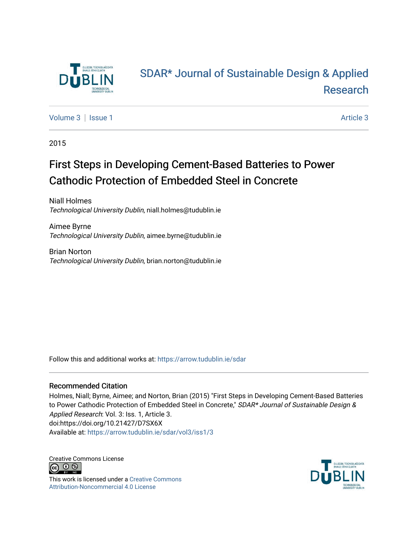

# [SDAR\\* Journal of Sustainable Design & Applied](https://arrow.tudublin.ie/sdar)  [Research](https://arrow.tudublin.ie/sdar)

[Volume 3](https://arrow.tudublin.ie/sdar/vol3) | [Issue 1](https://arrow.tudublin.ie/sdar/vol3/iss1) Article 3

2015

# First Steps in Developing Cement-Based Batteries to Power Cathodic Protection of Embedded Steel in Concrete

Niall Holmes Technological University Dublin, niall.holmes@tudublin.ie

Aimee Byrne Technological University Dublin, aimee.byrne@tudublin.ie

Brian Norton Technological University Dublin, brian.norton@tudublin.ie

Follow this and additional works at: [https://arrow.tudublin.ie/sdar](https://arrow.tudublin.ie/sdar?utm_source=arrow.tudublin.ie%2Fsdar%2Fvol3%2Fiss1%2F3&utm_medium=PDF&utm_campaign=PDFCoverPages) 

#### Recommended Citation

Holmes, Niall; Byrne, Aimee; and Norton, Brian (2015) "First Steps in Developing Cement-Based Batteries to Power Cathodic Protection of Embedded Steel in Concrete," SDAR\* Journal of Sustainable Design & Applied Research: Vol. 3: Iss. 1, Article 3. doi:https://doi.org/10.21427/D7SX6X Available at: [https://arrow.tudublin.ie/sdar/vol3/iss1/3](https://arrow.tudublin.ie/sdar/vol3/iss1/3?utm_source=arrow.tudublin.ie%2Fsdar%2Fvol3%2Fiss1%2F3&utm_medium=PDF&utm_campaign=PDFCoverPages) 

Creative Commons License



This work is licensed under a [Creative Commons](https://creativecommons.org/licenses/by-nc/4.0/) [Attribution-Noncommercial 4.0 License](https://creativecommons.org/licenses/by-nc/4.0/)

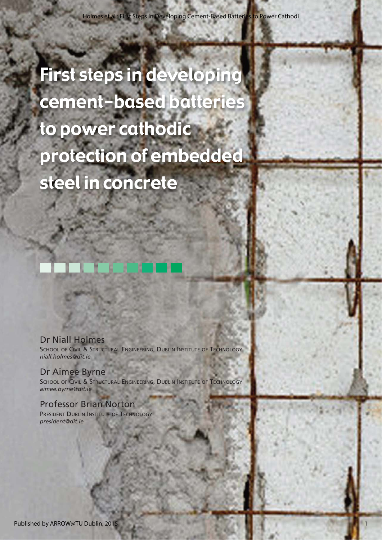First steps in developing cement-based batteries to power cathodic protection of embedded steel in concrete

Dr Niall Holmes SCHOOL OF CIVIL & STRUCTURAL ENGINEERING, DUBLIN INSTITUTE OF TECHNOLOGY *niall.holmes@dit.ie*

Dr Aimee Byrne SCHOOL OF CIVIL & STRUCTURAL ENGINEERING, DUBLIN INSTITUTE OF TECHNOLOGY *aimee.byrne@dit.ie*

Professor Brian Norton PRESIDENT DUBLIN INSTITUTE OF TECHNOLOGY *president@dit.ie*



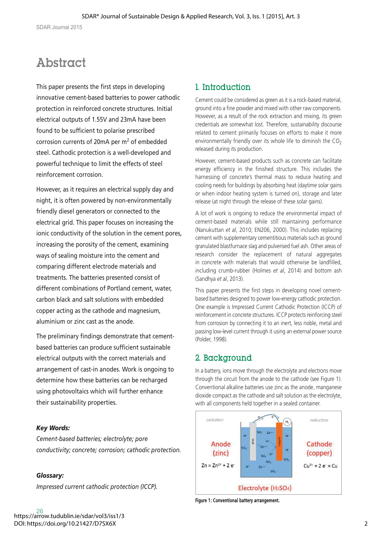# **Abstract**

This paper presents the first steps in developing innovative cement-based batteries to power cathodic protection in reinforced concrete structures. Initial electrical outputs of 1.55V and 23mA have been found to be sufficient to polarise prescribed corrosion currents of 20mA per  $m<sup>2</sup>$  of embedded steel. Cathodic protection is a well-developed and powerful technique to limit the effects of steel reinforcement corrosion.

However, as it requires an electrical supply day and night, it is often powered by non-environmentally friendly diesel generators or connected to the electrical grid. This paper focuses on increasing the ionic conductivity of the solution in the cement pores, increasing the porosity of the cement, examining ways of sealing moisture into the cement and comparing different electrode materials and treatments. The batteries presented consist of different combinations of Portland cement, water, carbon black and salt solutions with embedded copper acting as the cathode and magnesium, aluminium or zinc cast as the anode.

The preliminary findings demonstrate that cementbased batteries can produce sufficient sustainable electrical outputs with the correct materials and arrangement of cast-in anodes. Work is ongoing to determine how these batteries can be recharged using photovoltaics which will further enhance their sustainability properties.

### *Key Words:*

*Cement-based batteries; electrolyte; pore conductivity; concrete; corrosion; cathodic protection.*

### *Glossary:*

*Impressed current cathodic protection (ICCP).*

# 1. Introduction

Cement could be considered as green as it is a rock-based material, ground into a fine powder and mixed with other raw components. However, as a result of the rock extraction and mixing, its green credentials are somewhat lost. Therefore, sustainability discourse related to cement primarily focuses on efforts to make it more environmentally friendly over its whole life to diminish the  $CO<sub>2</sub>$ released during its production.

However, cement-based products such as concrete can facilitate energy efficiency in the finished structure. This includes the harnessing of concrete's thermal mass to reduce heating and cooling needs for buildings by absorbing heat (daytime solar gains or when indoor heating system is turned on), storage and later release (at night through the release of these solar gains).

A lot of work is ongoing to reduce the environmental impact of cement-based materials while still maintaining performance (Nanukuttan *et al*, 2010; EN206, 2000). This includes replacing cement with supplementary cementitious materials such as ground granulated blastfurnace slag and pulverised fuel ash. Other areas of research consider the replacement of natural aggregates in concrete with materials that would otherwise be landfilled, including crumb-rubber (Holmes *et al*, 2014) and bottom ash (Sandhya *et al*, 2013).

This paper presents the first steps in developing novel cementbased batteries designed to power low-energy cathodic protection. One example is Impressed Current Cathodic Protection (ICCP) of reinforcement in concrete structures. ICCP protects reinforcing steel from corrosion by connecting it to an inert, less noble, metal and passing low-level current through it using an external power source (Polder, 1998).

## 2. Background

In a battery, ions move through the electrolyte and electrons move through the circuit from the anode to the cathode (see Figure 1). Conventional alkaline batteries use zinc as the anode, manganese dioxide compact as the cathode and salt solution as the electrolyte, with all components held together in a sealed container.



Figure 1: Conventional battery arrangement.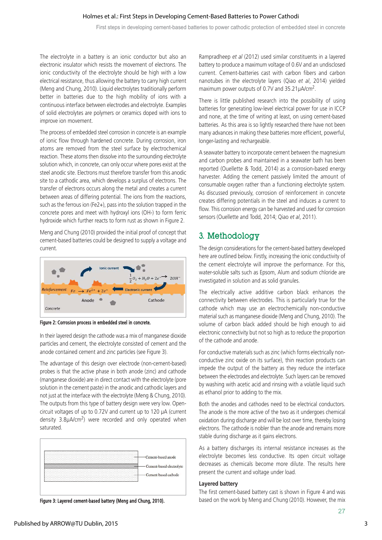First steps in developing cement-based batteries to power cathodic protection of embedded steel in concrete

The electrolyte in a battery is an ionic conductor but also an electronic insulator which resists the movement of electrons. The ionic conductivity of the electrolyte should be high with a low electrical resistance, thus allowing the battery to carry high current (Meng and Chung, 2010). Liquid electrolytes traditionally perform better in batteries due to the high mobility of ions with a continuous interface between electrodes and electrolyte. Examples of solid electrolytes are polymers or ceramics doped with ions to improve ion movement.

The process of embedded steel corrosion in concrete is an example of ionic flow through hardened concrete. During corrosion, iron atoms are removed from the steel surface by electrochemical reaction. These atoms then dissolve into the surrounding electrolyte solution which, in concrete, can only occur where pores exist at the steel anodic site. Electrons must therefore transfer from this anodic site to a cathodic area, which develops a surplus of electrons. The transfer of electrons occurs along the metal and creates a current between areas of differing potential. The ions from the reactions, such as the ferrous ion (Fe2+), pass into the solution trapped in the concrete pores and meet with hydroxyl ions (OH-) to form ferric hydroxide which further reacts to form rust as shown in Figure 2.

Meng and Chung (2010) provided the initial proof of concept that cement-based batteries could be designed to supply a voltage and current.



Figure 2: Corrosion process in embedded steel in concrete.

In their layered design the cathode was a mix of manganese dioxide particles and cement, the electrolyte consisted of cement and the anode contained cement and zinc particles (see Figure 3).

The advantage of this design over electrode (non-cement-based) probes is that the active phase in both anode (zinc) and cathode (manganese dioxide) are in direct contact with the electrolyte (pore solution in the cement paste) in the anodic and cathodic layers and not just at the interface with the electrolyte (Meng & Chung, 2010). The outputs from this type of battery design were very low. Opencircuit voltages of up to 0.72V and current up to 120 µA (current density 3.8µA/cm2) were recorded and only operated when saturated.



Figure 3: Layered cement-based battery (Meng and Chung, 2010).

Rampradheep *et al* (2012) used similar constituents in a layered battery to produce a maximum voltage of 0.6V and an undisclosed current. Cement-batteries cast with carbon fibers and carbon nanotubes in the electrolyte layers (Qiao *et al*, 2014) yielded maximum power outputs of 0.7V and 35.21µA/cm2.

There is little published research into the possibility of using batteries for generating low-level electrical power for use in ICCP and none, at the time of writing at least, on using cement-based batteries. As this area is so lightly researched there have not been many advances in making these batteries more efficient, powerful, longer-lasting and rechargeable.

A seawater battery to incorporate cement between the magnesium and carbon probes and maintained in a seawater bath has been reported (Ouellette & Todd, 2014) as a corrosion-based energy harvester. Adding the cement passively limited the amount of consumable oxygen rather than a functioning electrolyte system. As discussed previously, corrosion of reinforcement in concrete creates differing potentials in the steel and induces a current to flow. This corrosion energy can be harvested and used for corrosion sensors (Ouellette and Todd, 2014; Qiao *et al*, 2011).

# 3. Methodology

The design considerations for the cement-based battery developed here are outlined below. Firstly, increasing the ionic conductivity of the cement electrolyte will improve the performance. For this, water-soluble salts such as Epsom, Alum and sodium chloride are investigated in solution and as solid granules.

The electrically active additive carbon black enhances the connectivity between electrodes. This is particularly true for the cathode which may use an electrochemically non-conductive material such as manganese dioxide (Meng and Chung, 2010). The volume of carbon black added should be high enough to aid electronic connectivity but not so high as to reduce the proportion of the cathode and anode.

For conductive materials such as zinc (which forms electrically nonconductive zinc oxide on its surface), thin reaction products can impede the output of the battery as they reduce the interface between the electrodes and electrolyte. Such layers can be removed by washing with acetic acid and rinsing with a volatile liquid such as ethanol prior to adding to the mix.

Both the anodes and cathodes need to be electrical conductors. The anode is the more active of the two as it undergoes chemical oxidation during discharge and will be lost over time, thereby losing electrons. The cathode is nobler than the anode and remains more stable during discharge as it gains electrons.

As a battery discharges its internal resistance increases as the electrolyte becomes less conductive. Its open circuit voltage decreases as chemicals become more dilute. The results here present the current and voltage under load.

### **Layered battery**

The first cement-based battery cast is shown in Figure 4 and was based on the work by Meng and Chung (2010). However, the mix

3

27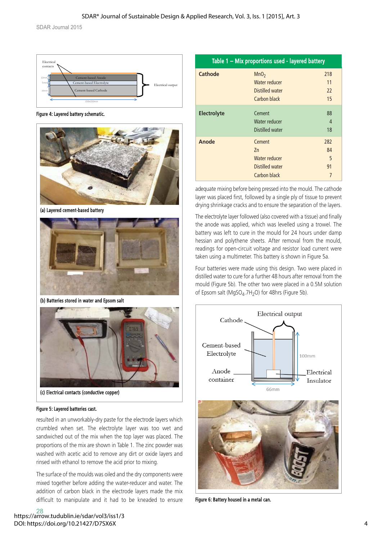SDAR Journal 2015



Figure 4: Layered battery schematic.



(a) Layered cement-based battery



(b) Batteries stored in water and Epsom salt



(c) Electrical contacts (conductive copper)

#### Figure 5: Layered batteries cast.

resulted in an unworkably-dry paste for the electrode layers which crumbled when set. The electrolyte layer was too wet and sandwiched out of the mix when the top layer was placed. The proportions of the mix are shown in Table 1. The zinc powder was washed with acetic acid to remove any dirt or oxide layers and rinsed with ethanol to remove the acid prior to mixing.

The surface of the moulds was oiled and the dry components were mixed together before adding the water-reducer and water. The addition of carbon black in the electrode layers made the mix difficult to manipulate and it had to be kneaded to ensure

```
28
https://arrow.tudublin.ie/sdar/vol3/iss1/3
DOI: https://doi.org/10.21427/D7SX6X
```

| Table 1 - Mix proportions used - layered battery |                                            |               |  |  |
|--------------------------------------------------|--------------------------------------------|---------------|--|--|
| Cathode                                          | MnO <sub>2</sub>                           | 218           |  |  |
|                                                  | Water reducer                              | 11            |  |  |
|                                                  | Distilled water                            | 22            |  |  |
|                                                  | Carbon black                               | 15            |  |  |
| <b>Electrolyte</b>                               | Cement<br>Water reducer<br>Distilled water | 88<br>4<br>18 |  |  |
| Anode                                            | Cement                                     | 282           |  |  |
|                                                  | Zn                                         | 84            |  |  |
|                                                  | Water reducer                              | 5             |  |  |
|                                                  | Distilled water                            | 91            |  |  |
|                                                  | Carbon black                               | 7             |  |  |

adequate mixing before being pressed into the mould. The cathode layer was placed first, followed by a single ply of tissue to prevent drying shrinkage cracks and to ensure the separation of the layers.

The electrolyte layer followed (also covered with a tissue) and finally the anode was applied, which was levelled using a trowel. The battery was left to cure in the mould for 24 hours under damp hessian and polythene sheets. After removal from the mould, readings for open-circuit voltage and resistor load current were taken using a multimeter. This battery is shown in Figure 5a.

Four batteries were made using this design. Two were placed in distilled water to cure for a further 48 hours after removal from the mould (Figure 5b). The other two were placed in a 0.5M solution of Epsom salt (MgSO $_A$ .7H<sub>2</sub>O) for 48hrs (Figure 5b).



Figure 6: Battery housed in a metal can.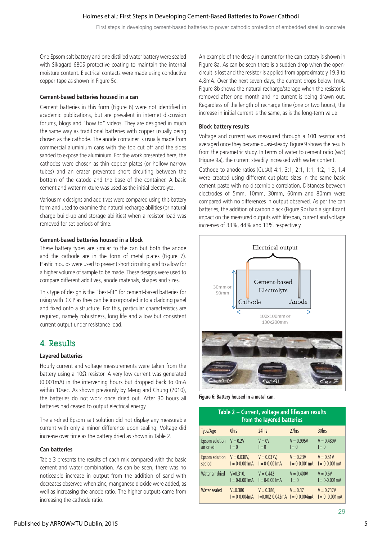One Epsom salt battery and one distilled water battery were sealed with Sikagard 680S protective coating to maintain the internal moisture content. Electrical contacts were made using conductive copper tape as shown in Figure 5c.

#### **Cement-based batteries housed in a can**

Cement batteries in this form (Figure 6) were not identified in academic publications, but are prevalent in internet discussion forums, blogs and "how to" videos. They are designed in much the same way as traditional batteries with copper usually being chosen as the cathode. The anode container is usually made from commercial aluminium cans with the top cut off and the sides sanded to expose the aluminium. For the work presented here, the cathodes were chosen as thin copper plates (or hollow narrow tubes) and an eraser prevented short circuiting between the bottom of the catode and the base of the container. A basic cement and water mixture was used as the initial electrolyte.

Various mix designs and additives were compared using this battery form and used to examine the natural recharge abilities (or natural charge build-up and storage abilities) when a resistor load was removed for set periods of time.

#### **Cement-based batteries housed in a block**

These battery types are similar to the can but both the anode and the cathode are in the form of metal plates (Figure 7). Plastic moulds were used to prevent short circuiting and to allow for a higher volume of sample to be made. These designs were used to compare different additives, anode materials, shapes and sizes.

This type of design is the "best-fit" for cement-based batteries for using with ICCP as they can be incorporated into a cladding panel and fixed onto a structure. For this, particular characteristics are required, namely robustness, long life and a low but consistent current output under resistance load.

## 4. Results

### **Layered batteries**

Hourly current and voltage measurements were taken from the battery using a 10 $\Omega$  resistor. A very low current was generated (0.001mA) in the intervening hours but dropped back to 0mA within 10sec. As shown previously by Meng and Chung (2010), the batteries do not work once dried out. After 30 hours all batteries had ceased to output electrical energy.

The air-dried Epsom salt solution did not display any measurable current with only a minor difference upon sealing. Voltage did increase over time as the battery dried as shown in Table 2.

### **Can batteries**

Table 3 presents the results of each mix compared with the basic cement and water combination. As can be seen, there was no noticeable increase in output from the addition of sand with decreases observed when zinc, manganese dioxide were added, as well as increasing the anode ratio. The higher outputs came from increasing the cathode ratio.

An example of the decay in current for the can battery is shown in Figure 8a. As can be seen there is a sudden drop when the opencircuit is lost and the resistor is applied from approximately 19.3 to 4.8mA. Over the next seven days, the current drops below 1mA. Figure 8b shows the natural recharge/storage when the resistor is removed after one month and no current is being drawn out. Regardless of the length of recharge time (one or two hours), the increase in initial current is the same, as is the long-term value.

### **Block battery results**

Voltage and current was measured through a 10**Ω** resistor and averaged once they became quasi-steady. Figure 9 shows the results from the parametric study. In terms of water to cement ratio (w/c) (Figure 9a), the current steadily increased with water content.

Cathode to anode ratios (Cu:Al) 4:1, 3:1, 2:1, 1:1, 1:2, 1:3, 1.4 were created using different cut-plate sizes in the same basic cement paste with no discernible correlation. Distances between electrodes of 5mm, 10mm, 30mm, 60mm and 80mm were compared with no differences in output observed. As per the can batteries, the addition of carbon black (Figure 9b) had a significant impact on the measured outputs with lifespan, current and voltage increases of 33%, 44% and 13% respectively.



Figure 6: Battery housed in a metal can.

| Table 2 - Current, voltage and lifespan results<br>from the layered batteries |                                                |                                                                 |                              |                                   |  |
|-------------------------------------------------------------------------------|------------------------------------------------|-----------------------------------------------------------------|------------------------------|-----------------------------------|--|
| Type/Age                                                                      | Ohrs                                           | 24hrs                                                           | 27hrs                        | 30hrs                             |  |
| Epsom solution<br>air dried                                                   | $V = 0.2V$<br>$I = 0$                          | $V = 0V$<br>$I = 0$                                             | $V = 0.995V$<br>$I = 0$      | $V = 0.489V$<br>$I = 0$           |  |
| sealed                                                                        | Epsom solution $V = 0.030V$ ,<br>$I = 0.001mA$ | $V = 0.037V$ .<br>$I = 0.001mA$                                 | $V = 0.23V$<br>$I = 0.001mA$ | $V = 0.51V$<br>$I = 0.001mA$      |  |
| Water air dried                                                               | $V = 0.310,$                                   | $V = 0.442$<br>$I = 0.001mA$ $I = 0.001mA$                      | $V = 0.400V$<br>$I = 0$      | $V = 0.6V$<br>$I = 0.001mA$       |  |
| Water sealed                                                                  | $V = 0.380$<br>$I = 0.004mA$                   | $V = 0.386$ . $V = 0.37$<br>$I=0.002 - 0.042$ mA $I=0-0.004$ mA |                              | $V = 0.737V$<br>$I = 0 - 0.001mA$ |  |

29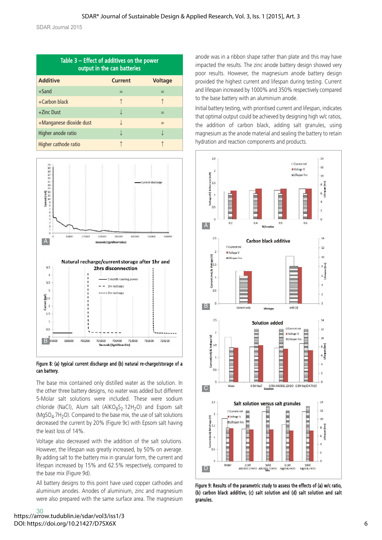SDAR Journal 2015

| Table $3$ – Effect of additives on the power<br>output in the can batteries |                |                |  |  |  |
|-----------------------------------------------------------------------------|----------------|----------------|--|--|--|
| <b>Additive</b>                                                             | <b>Current</b> | <b>Voltage</b> |  |  |  |
| $+$ Sand                                                                    |                |                |  |  |  |
| $+$ Carbon black                                                            | Υ              |                |  |  |  |
| $+$ Zinc Dust                                                               |                |                |  |  |  |
| +Manganese dioxide dust                                                     |                | $=$            |  |  |  |
| Higher anode ratio                                                          |                |                |  |  |  |
| Higher cathode ratio                                                        |                |                |  |  |  |



#### Figure 8: (a) typical current discharge and (b) natural re-charge/storage of a can battery.

The base mix contained only distilled water as the solution. In the other three battery designs, no water was added but different 5-Molar salt solutions were included. These were sodium chloride (NaCl), Alum salt (AlKO<sub>8</sub>S<sub>2</sub>.12H<sub>2</sub>O) and Espom salt  $(MqSO<sub>A</sub>.7H<sub>2</sub>O)$ . Compared to the base mix, the use of salt solutions decreased the current by 20% (Figure 9c) with Epsom salt having the least loss of 14%.

Voltage also decreased with the addition of the salt solutions. However, the lifespan was greatly increased, by 50% on average. By adding salt to the battery mix in granular form, the current and lifespan increased by 15% and 62.5% respectively, compared to the base mix (Figure 9d).

All battery designs to this point have used copper cathodes and aluminium anodes. Anodes of aluminium, zinc and magnesium were also prepared with the same surface area. The magnesium

30 https://arrow.tudublin.ie/sdar/vol3/iss1/3 DOI: https://doi.org/10.21427/D7SX6X

anode was in a ribbon shape rather than plate and this may have impacted the results. The zinc anode battery design showed very poor results. However, the magnesium anode battery design provided the highest current and lifespan during testing. Current and lifespan increased by 1000% and 350% respectively compared to the base battery with an aluminium anode.

Initial battery testing, with prioritised current and lifespan, indicates that optimal output could be achieved by designing high w/c ratios, the addition of carbon black, adding salt granules, using magnesium as the anode material and sealing the battery to retain hydration and reaction components and products.



Figure 9: Results of the parametric study to assess the effects of (a) w/c ratio, (b) carbon black additive, (c) salt solution and (d) salt solution and salt granules.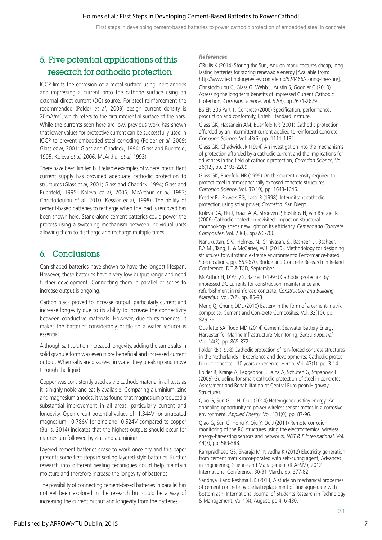First steps in developing cement-based batteries to power cathodic protection of embedded steel in concrete

# 5. Five potential applications of this research for cathodic protection

ICCP limits the corrosion of a metal surface using inert anodes and impressing a current onto the cathode surface using an external direct current (DC) source. For steel reinforcement the recommended (Polder *et al*, 2009) design current density is  $20$ m $A/m<sup>2</sup>$ , which refers to the circumferential surface of the bars. While the currents seen here are low, previous work has shown that lower values for protective current can be successfully used in ICCP to prevent embedded steel corroding (Polder *et al*, 2009; Glass *et al*, 2001; Glass and Chadrick, 1994; Glass and Buenfeld, 1995; Koleva *et al,* 2006; McArthur *et al*, 1993).

There have been limited but reliable examples of where intermittent current supply has provided adequate cathodic protection to structures (Glass *et al*, 2001; Glass and Chadrick, 1994; Glass and Buenfeld, 1995; Koleva *et al*, 2006; McArthur *et al*, 1993; Christodoulou *et a*l, 2010; Kessler *et al*, 1998). The ability of cement-based batteries to recharge when the load is removed has been shown here. Stand-alone cement batteries could power the process using a switching mechanism between individual units allowing them to discharge and recharge multiple times.

## 6. Conclusions

Can-shaped batteries have shown to have the longest lifespan. However, these batteries have a very low output range and need further development. Connecting them in parallel or series to increase output is ongoing.

Carbon black proved to increase output, particularly current and increase longevity due to its ability to increase the connectivity between conductive materials. However, due to its fineness, it makes the batteries considerably brittle so a water reducer is essential.

Although salt solution increased longevity, adding the same salts in solid granule form was even more beneficial and increased current output. When salts are dissolved in water they break up and move through the liquid.

Copper was consistently used as the cathode material in all tests as it is highly noble and easily available. Comparing aluminium, zinc and magnesium anodes, it was found that magnesium produced a substantial improvement in all areas, particularly current and longevity. Open circuit potential values of -1.344V for untreated magnesium, -0.786V for zinc and -0.524V compared to copper (Bullis, 2014) indicates that the highest outputs should occur for magnesium followed by zinc and aluminium.

Layered cement batteries cease to work once dry and this paper presents some first steps in sealing layered-style batteries. Further research into different sealing techniques could help maintain moisture and therefore increase the longevity of batteries.

The possibility of connecting cement-based batteries in parallel has not yet been explored in the research but could be a way of increasing the current output and longevity from the batteries.

#### *References*

CBullis K (2014) Storing the Sun, Aquion manu-factures cheap, longlasting batteries for storing renewable energy [Available from: http://www.technologyreview.com/demo/524466/storing-the-sun/].

Christodoulou C, Glass G, Webb J, Austin S, Goodier C (2010) Assessing the long term benefits of Impressed Current Cathodic Protection, *Corrosion Science*, Vol. 52(8), pp 2671-2679.

BS EN 206 Part 1, Concrete (2000) Specification, performance, production and conformity, British Standard Institute.

Glass GK, Hassanein AM, Buenfeld NR (2001) Cathodic protection afforded by an intermittent current applied to reinforced concrete, *Corrosion Science*, Vol. 43(6), pp. 1111-1131.

Glass GK, Chadwick JR (1994) An investigation into the mechanisms of protection afforded by a cathodic current and the implications for ad-vances in the field of cathodic protection, *Corrosion Science*, Vol. 36(12), pp. 2193-2209.

Glass GK, Buenfeld NR (1995) On the current density required to protect steel in atmospherically exposed concrete structures, *Corrosion Science*, Vol. 37(10), pp. 1643-1646.

Kessler RJ, Powers RG, Lasa IR (1998). Intermittant cathodic protection using solar power, *Corrosion*. San Diego.

Koleva DA, Hu J, Fraaij ALA, Stroeven P, Boshkov N, van Breugel K (2006) Cathodic protection revisited: Impact on structural morphol-ogy sheds new light on its efficiency, *Cement and Concrete Composites*, Vol. 28(8), pp.696-706.

Nanukuttan, S.V., Holmes, N., Srinivasan, S., Basheer, L., Basheer, P.A.M., Tang, L. & McCarter, W.J. (2010), Methodology for designing structures to withstand extreme environments: Performance-based Specifications, pp. 663-670, Bridge and Concrete Research in Ireland Conference, DIT & TCD, September.

McArthur H, D'Arcy S, Barker J (1993) Cathodic protection by impressed DC currents for construction, maintenance and refurbishment in reinforced concrete, *Construction and Building Materials*, Vol. 7(2), pp. 85-93.

Meng Q, Chung DDL (2010) Battery in the form of a cement-matrix composite, Cement and Con-crete Composites, Vol. 32(10), pp. 829-39.

Ouellette SA, Todd MD (2014) Cement Seawater Battery Energy Harvester for Marine Infrastructure Monitoring, *Sensors Journal*, Vol. 14(3), pp. 865-872.

Polder RB (1998) Cathodic protection of rein-forced concrete structures in the Netherlands – Experience and developments: Cathodic protection of concrete - 10 years experience. Heron, Vol. 43(1), pp. 3-14.

Polder R, Kranje A, Leggedoor J, Sajna A, Schuten G, Stipanovic I (2009) Guideline for smart cathodic protection of steel in concrete: Assessment and Rehabilitation of Central Euro-pean Highway Structures.

Qiao G, Sun G, Li H, Ou J (2014) Heterogeneous tiny energy: An appealing opportunity to power wireless sensor motes in a corrosive environment, *Applied Energy*, Vol. 131(0), pp. 87-96.

Qiao G, Sun G, Hong Y, Qiu Y, Ou J (2011) Remote corrosion monitoring of the RC structures using the electrochemical wireless energy-harvesting sensors and networks, *NDT & E Inter-national*, Vol. 44(7), pp. 583-588.

Rampradheep GS, Sivaraja M, Nivedha K (2012) Electricity generation from cement matrix incor-porated with self-curing agent, Advances in Engineering, Science and Management (ICAESM), 2012 International Conference, 30-31 March, pp. 377-82.

Sandhya B and Reshma E.K (2013) A study on mechanical properties of cement concrete by partial replacement of fine aggregate with bottom ash, International Journal of Students Research in Technology & Management, Vol 1(4), August, pp 416-430.